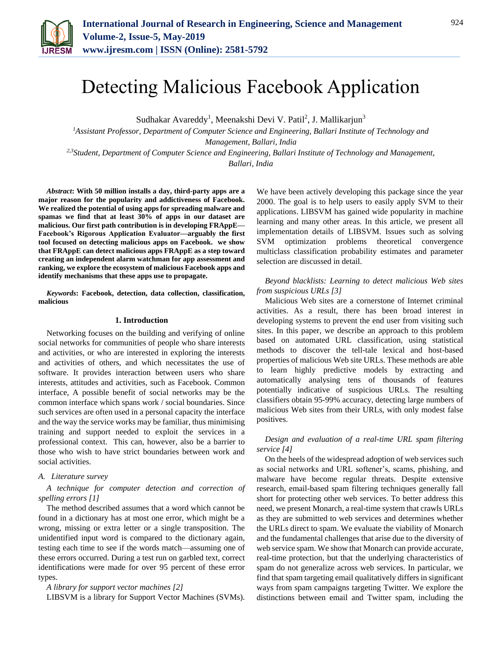

# Detecting Malicious Facebook Application

Sudhakar Avareddy<sup>1</sup>, Meenakshi Devi V. Patil<sup>2</sup>, J. Mallikarjun<sup>3</sup>

*<sup>1</sup>Assistant Professor, Department of Computer Science and Engineering, Ballari Institute of Technology and Management, Ballari, India 2,3Student, Department of Computer Science and Engineering, Ballari Institute of Technology and Management, Ballari, India*

*Abstract***: With 50 million installs a day, third-party apps are a major reason for the popularity and addictiveness of Facebook. We realized the potential of using apps for spreading malware and spamas we find that at least 30% of apps in our dataset are malicious. Our first path contribution is in developing FRAppE— Facebook's Rigorous Application Evaluator—arguably the first tool focused on detecting malicious apps on Facebook. we show that FRAppE can detect malicious apps FRAppE as a step toward creating an independent alarm watchman for app assessment and ranking, we explore the ecosystem of malicious Facebook apps and identify mechanisms that these apps use to propagate.**

*Keywords***: Facebook, detection, data collection, classification, malicious**

#### **1. Introduction**

Networking focuses on the building and verifying of online social networks for communities of people who share interests and activities, or who are interested in exploring the interests and activities of others, and which necessitates the use of software. It provides interaction between users who share interests, attitudes and activities, such as Facebook. Common interface, A possible benefit of social networks may be the common interface which spans work / social boundaries. Since such services are often used in a personal capacity the interface and the way the service works may be familiar, thus minimising training and support needed to exploit the services in a professional context. This can, however, also be a barrier to those who wish to have strict boundaries between work and social activities.

#### *A. Literature survey*

# *A technique for computer detection and correction of spelling errors [1]*

The method described assumes that a word which cannot be found in a dictionary has at most one error, which might be a wrong, missing or extra letter or a single transposition. The unidentified input word is compared to the dictionary again, testing each time to see if the words match—assuming one of these errors occurred. During a test run on garbled text, correct identifications were made for over 95 percent of these error types.

*A library for support vector machines [2]*

LIBSVM is a library for Support Vector Machines (SVMs).

We have been actively developing this package since the year 2000. The goal is to help users to easily apply SVM to their applications. LIBSVM has gained wide popularity in machine learning and many other areas. In this article, we present all implementation details of LIBSVM. Issues such as solving SVM optimization problems theoretical convergence multiclass classification probability estimates and parameter selection are discussed in detail.

# *Beyond blacklists: Learning to detect malicious Web sites from suspicious URLs [3]*

Malicious Web sites are a cornerstone of Internet criminal activities. As a result, there has been broad interest in developing systems to prevent the end user from visiting such sites. In this paper, we describe an approach to this problem based on automated URL classification, using statistical methods to discover the tell-tale lexical and host-based properties of malicious Web site URLs. These methods are able to learn highly predictive models by extracting and automatically analysing tens of thousands of features potentially indicative of suspicious URLs. The resulting classifiers obtain 95-99% accuracy, detecting large numbers of malicious Web sites from their URLs, with only modest false positives.

## *Design and evaluation of a real-time URL spam filtering service [4]*

On the heels of the widespread adoption of web services such as social networks and URL softener's, scams, phishing, and malware have become regular threats. Despite extensive research, email-based spam filtering techniques generally fall short for protecting other web services. To better address this need, we present Monarch, a real-time system that crawls URLs as they are submitted to web services and determines whether the URLs direct to spam. We evaluate the viability of Monarch and the fundamental challenges that arise due to the diversity of web service spam. We show that Monarch can provide accurate, real-time protection, but that the underlying characteristics of spam do not generalize across web services. In particular, we find that spam targeting email qualitatively differs in significant ways from spam campaigns targeting Twitter. We explore the distinctions between email and Twitter spam, including the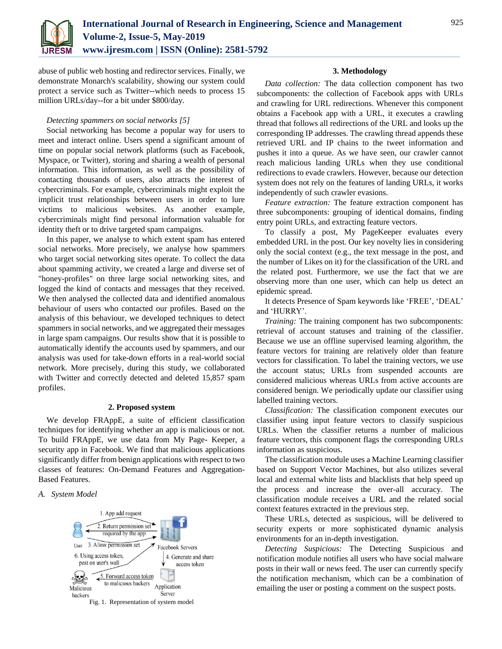

abuse of public web hosting and redirector services. Finally, we demonstrate Monarch's scalability, showing our system could protect a service such as Twitter--which needs to process 15 million URLs/day--for a bit under \$800/day.

# *Detecting spammers on social networks [5]*

Social networking has become a popular way for users to meet and interact online. Users spend a significant amount of time on popular social network platforms (such as Facebook, Myspace, or Twitter), storing and sharing a wealth of personal information. This information, as well as the possibility of contacting thousands of users, also attracts the interest of cybercriminals. For example, cybercriminals might exploit the implicit trust relationships between users in order to lure victims to malicious websites. As another example, cybercriminals might find personal information valuable for identity theft or to drive targeted spam campaigns.

In this paper, we analyse to which extent spam has entered social networks. More precisely, we analyse how spammers who target social networking sites operate. To collect the data about spamming activity, we created a large and diverse set of "honey-profiles" on three large social networking sites, and logged the kind of contacts and messages that they received. We then analysed the collected data and identified anomalous behaviour of users who contacted our profiles. Based on the analysis of this behaviour, we developed techniques to detect spammers in social networks, and we aggregated their messages in large spam campaigns. Our results show that it is possible to automatically identify the accounts used by spammers, and our analysis was used for take-down efforts in a real-world social network. More precisely, during this study, we collaborated with Twitter and correctly detected and deleted 15,857 spam profiles.

### **2. Proposed system**

We develop FRAppE, a suite of efficient classification techniques for identifying whether an app is malicious or not. To build FRAppE, we use data from My Page- Keeper, a security app in Facebook. We find that malicious applications significantly differ from benign applications with respect to two classes of features: On-Demand Features and Aggregation-Based Features.

#### *A. System Model*



#### **3. Methodology**

*Data collection:* The data collection component has two subcomponents: the collection of Facebook apps with URLs and crawling for URL redirections. Whenever this component obtains a Facebook app with a URL, it executes a crawling thread that follows all redirections of the URL and looks up the corresponding IP addresses. The crawling thread appends these retrieved URL and IP chains to the tweet information and pushes it into a queue. As we have seen, our crawler cannot reach malicious landing URLs when they use conditional redirections to evade crawlers. However, because our detection system does not rely on the features of landing URLs, it works independently of such crawler evasions.

*Feature extraction:* The feature extraction component has three subcomponents: grouping of identical domains, finding entry point URLs, and extracting feature vectors.

To classify a post, My PageKeeper evaluates every embedded URL in the post. Our key novelty lies in considering only the social context (e.g., the text message in the post, and the number of Likes on it) for the classification of the URL and the related post. Furthermore, we use the fact that we are observing more than one user, which can help us detect an epidemic spread.

It detects Presence of Spam keywords like 'FREE', 'DEAL' and 'HURRY'.

*Training:* The training component has two subcomponents: retrieval of account statuses and training of the classifier. Because we use an offline supervised learning algorithm, the feature vectors for training are relatively older than feature vectors for classification. To label the training vectors, we use the account status; URLs from suspended accounts are considered malicious whereas URLs from active accounts are considered benign. We periodically update our classifier using labelled training vectors.

*Classification:* The classification component executes our classifier using input feature vectors to classify suspicious URLs. When the classifier returns a number of malicious feature vectors, this component flags the corresponding URLs information as suspicious.

The classification module uses a Machine Learning classifier based on Support Vector Machines, but also utilizes several local and external white lists and blacklists that help speed up the process and increase the over-all accuracy. The classification module receives a URL and the related social context features extracted in the previous step.

These URLs, detected as suspicious, will be delivered to security experts or more sophisticated dynamic analysis environments for an in-depth investigation.

*Detecting Suspicious:* The Detecting Suspicious and notification module notifies all users who have social malware posts in their wall or news feed. The user can currently specify the notification mechanism, which can be a combination of emailing the user or posting a comment on the suspect posts.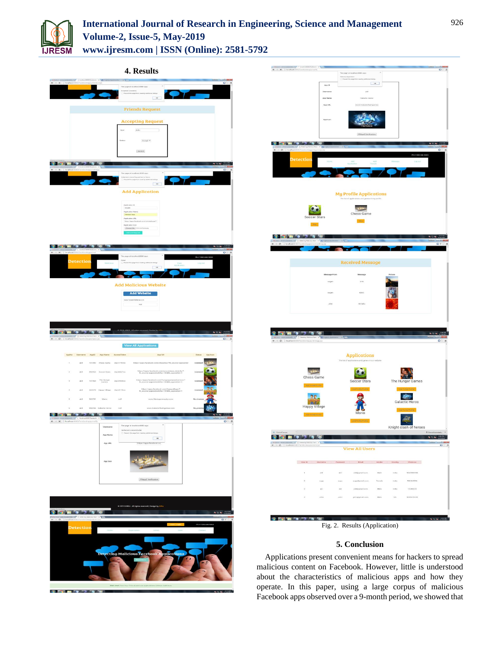

**CONTRACTOR CONTRACTOR** 

# **International Journal of Research in Engineering, Science and Management Volume-2, Issue-5, May-2019 www.ijresm.com | ISSN (Online): 2581-5792**

 $+ + \times$ **4. Results**  .<br>App I App URE **Friends Request Coloring Add Application My Profile Applications**  $\n **3 6 7 8 1 8 1 9 10 11 13 14 15 16 17 19 19 19 19 19 19 19 19 19 19 19 19 19**$ COMPDD ceived Me  $2011$  $9907777$ **Applications** 34  $\bullet$   $\bullet$   $\bullet$   $\bullet$ *DOMESTIC*  $9987777$  $-$  or ÷ **View All Users**  $298777$ **CERTIFICATE** Fig. 2. Results (Application) **5. Conclusion**  Applications present convenient means for hackers to spread malicious content on Facebook. However, little is understood

about the characteristics of malicious apps and how they operate. In this paper, using a large corpus of malicious Facebook apps observed over a 9-month period, we showed that